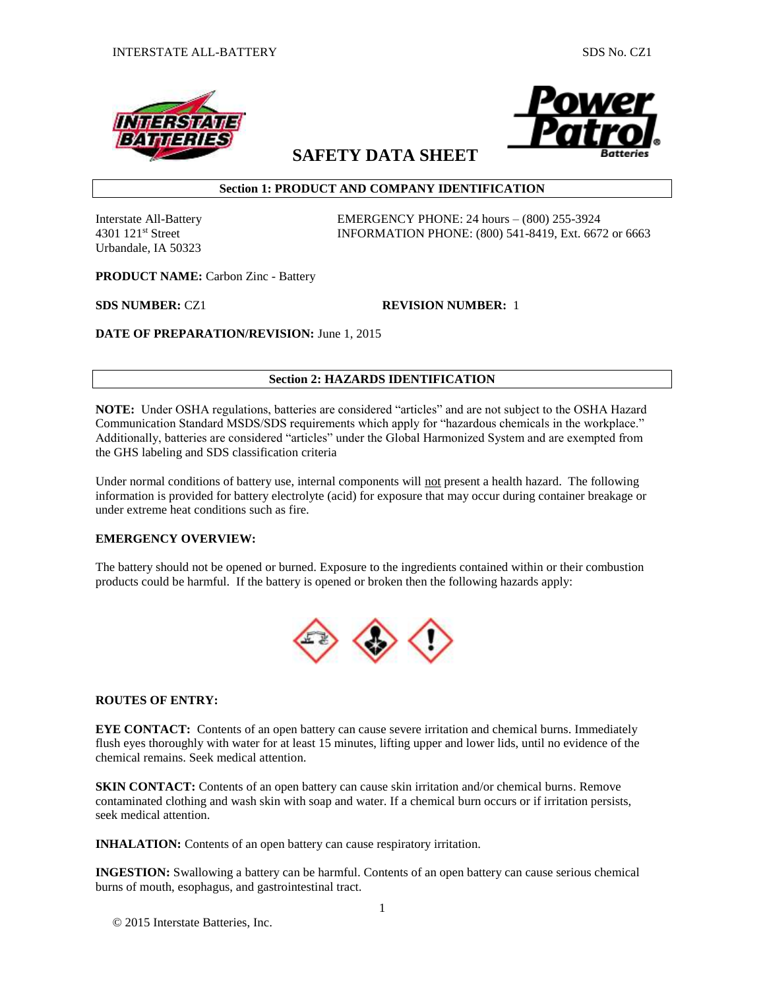



# **SAFETY DATA SHEET**

## **Section 1: PRODUCT AND COMPANY IDENTIFICATION**

Urbandale, IA 50323

Interstate All-Battery EMERGENCY PHONE: 24 hours – (800) 255-3924 4301 121st Street INFORMATION PHONE: (800) 541-8419, Ext. 6672 or 6663

**PRODUCT NAME:** Carbon Zinc - Battery

**SDS NUMBER:** CZ1 **REVISION NUMBER:** 1

**DATE OF PREPARATION/REVISION:** June 1, 2015

## **Section 2: HAZARDS IDENTIFICATION**

**NOTE:** Under OSHA regulations, batteries are considered "articles" and are not subject to the OSHA Hazard Communication Standard MSDS/SDS requirements which apply for "hazardous chemicals in the workplace." Additionally, batteries are considered "articles" under the Global Harmonized System and are exempted from the GHS labeling and SDS classification criteria

Under normal conditions of battery use, internal components will not present a health hazard. The following information is provided for battery electrolyte (acid) for exposure that may occur during container breakage or under extreme heat conditions such as fire.

## **EMERGENCY OVERVIEW:**

The battery should not be opened or burned. Exposure to the ingredients contained within or their combustion products could be harmful. If the battery is opened or broken then the following hazards apply:



## **ROUTES OF ENTRY:**

**EYE CONTACT:** Contents of an open battery can cause severe irritation and chemical burns. Immediately flush eyes thoroughly with water for at least 15 minutes, lifting upper and lower lids, until no evidence of the chemical remains. Seek medical attention.

**SKIN CONTACT:** Contents of an open battery can cause skin irritation and/or chemical burns. Remove contaminated clothing and wash skin with soap and water. If a chemical burn occurs or if irritation persists, seek medical attention.

**INHALATION:** Contents of an open battery can cause respiratory irritation.

**INGESTION:** Swallowing a battery can be harmful. Contents of an open battery can cause serious chemical burns of mouth, esophagus, and gastrointestinal tract.

© 2015 Interstate Batteries, Inc.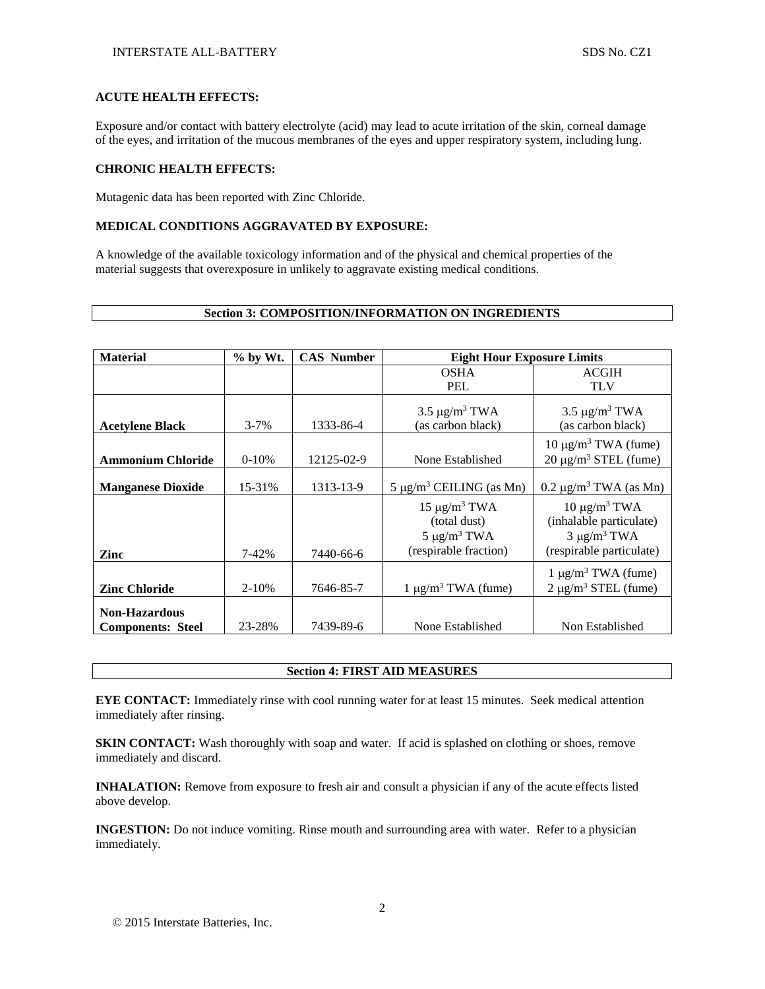## **ACUTE HEALTH EFFECTS:**

Exposure and/or contact with battery electrolyte (acid) may lead to acute irritation of the skin, corneal damage of the eyes, and irritation of the mucous membranes of the eyes and upper respiratory system, including lung.

### **CHRONIC HEALTH EFFECTS:**

Mutagenic data has been reported with Zinc Chloride.

## **MEDICAL CONDITIONS AGGRAVATED BY EXPOSURE:**

A knowledge of the available toxicology information and of the physical and chemical properties of the material suggests that overexposure in unlikely to aggravate existing medical conditions.

### **Section 3: COMPOSITION/INFORMATION ON INGREDIENTS**

| <b>Material</b>                                  | % by Wt.  | <b>CAS Number</b> | <b>Eight Hour Exposure Limits</b>                                                |                                                                                               |
|--------------------------------------------------|-----------|-------------------|----------------------------------------------------------------------------------|-----------------------------------------------------------------------------------------------|
|                                                  |           |                   | <b>OSHA</b>                                                                      | <b>ACGIH</b>                                                                                  |
|                                                  |           |                   | <b>PEL</b>                                                                       | <b>TLV</b>                                                                                    |
| <b>Acetylene Black</b>                           | $3 - 7\%$ | 1333-86-4         | $3.5 \mu g/m^3$ TWA<br>(as carbon black)                                         | $3.5 \mu g/m^3$ TWA<br>(as carbon black)                                                      |
| <b>Ammonium Chloride</b>                         | $0-10%$   | 12125-02-9        | None Established                                                                 | 10 μg/m <sup>3</sup> TWA (fume)<br>$20 \mu g/m^3$ STEL (fume)                                 |
| <b>Manganese Dioxide</b>                         | 15-31%    | 1313-13-9         | $5 \mu g/m^3$ CEILING (as Mn)                                                    | $0.2 \mu g/m^3$ TWA (as Mn)                                                                   |
| Zinc                                             | 7-42%     | 7440-66-6         | $15 \mu g/m^3$ TWA<br>(total dust)<br>$5 \mu g/m^3$ TWA<br>(respirable fraction) | $10 \mu g/m3 TWA$<br>(inhalable particulate)<br>$3 \mu g/m^3$ TWA<br>(respirable particulate) |
| <b>Zinc Chloride</b>                             | $2 - 10%$ | 7646-85-7         | $1 \mu g/m^3 TWA$ (fume)                                                         | $1 \mu g/m^3$ TWA (fume)<br>$2 \mu g/m^3$ STEL (fume)                                         |
| <b>Non-Hazardous</b><br><b>Components: Steel</b> | 23-28%    | 7439-89-6         | None Established                                                                 | Non Established                                                                               |

### **Section 4: FIRST AID MEASURES**

**EYE CONTACT:** Immediately rinse with cool running water for at least 15 minutes. Seek medical attention immediately after rinsing.

**SKIN CONTACT:** Wash thoroughly with soap and water. If acid is splashed on clothing or shoes, remove immediately and discard.

**INHALATION:** Remove from exposure to fresh air and consult a physician if any of the acute effects listed above develop.

**INGESTION:** Do not induce vomiting. Rinse mouth and surrounding area with water. Refer to a physician immediately.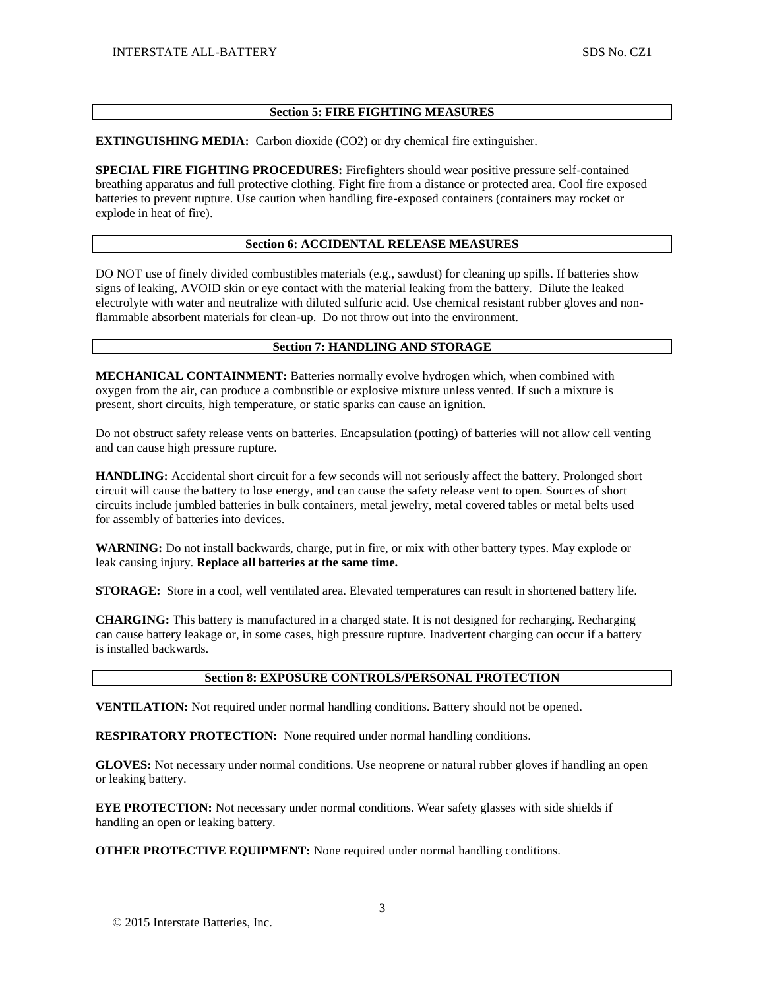## **Section 5: FIRE FIGHTING MEASURES**

**EXTINGUISHING MEDIA:** Carbon dioxide (CO2) or dry chemical fire extinguisher.

**SPECIAL FIRE FIGHTING PROCEDURES:** Firefighters should wear positive pressure self-contained breathing apparatus and full protective clothing. Fight fire from a distance or protected area. Cool fire exposed batteries to prevent rupture. Use caution when handling fire-exposed containers (containers may rocket or explode in heat of fire).

## **Section 6: ACCIDENTAL RELEASE MEASURES**

DO NOT use of finely divided combustibles materials (e.g., sawdust) for cleaning up spills. If batteries show signs of leaking, AVOID skin or eye contact with the material leaking from the battery. Dilute the leaked electrolyte with water and neutralize with diluted sulfuric acid. Use chemical resistant rubber gloves and nonflammable absorbent materials for clean-up. Do not throw out into the environment.

### **Section 7: HANDLING AND STORAGE**

**MECHANICAL CONTAINMENT:** Batteries normally evolve hydrogen which, when combined with oxygen from the air, can produce a combustible or explosive mixture unless vented. If such a mixture is present, short circuits, high temperature, or static sparks can cause an ignition.

Do not obstruct safety release vents on batteries. Encapsulation (potting) of batteries will not allow cell venting and can cause high pressure rupture.

**HANDLING:** Accidental short circuit for a few seconds will not seriously affect the battery. Prolonged short circuit will cause the battery to lose energy, and can cause the safety release vent to open. Sources of short circuits include jumbled batteries in bulk containers, metal jewelry, metal covered tables or metal belts used for assembly of batteries into devices.

**WARNING:** Do not install backwards, charge, put in fire, or mix with other battery types. May explode or leak causing injury. **Replace all batteries at the same time.**

**STORAGE:** Store in a cool, well ventilated area. Elevated temperatures can result in shortened battery life.

**CHARGING:** This battery is manufactured in a charged state. It is not designed for recharging. Recharging can cause battery leakage or, in some cases, high pressure rupture. Inadvertent charging can occur if a battery is installed backwards.

### **Section 8: EXPOSURE CONTROLS/PERSONAL PROTECTION**

**VENTILATION:** Not required under normal handling conditions. Battery should not be opened.

**RESPIRATORY PROTECTION:** None required under normal handling conditions.

**GLOVES:** Not necessary under normal conditions. Use neoprene or natural rubber gloves if handling an open or leaking battery.

**EYE PROTECTION:** Not necessary under normal conditions. Wear safety glasses with side shields if handling an open or leaking battery.

**OTHER PROTECTIVE EQUIPMENT:** None required under normal handling conditions.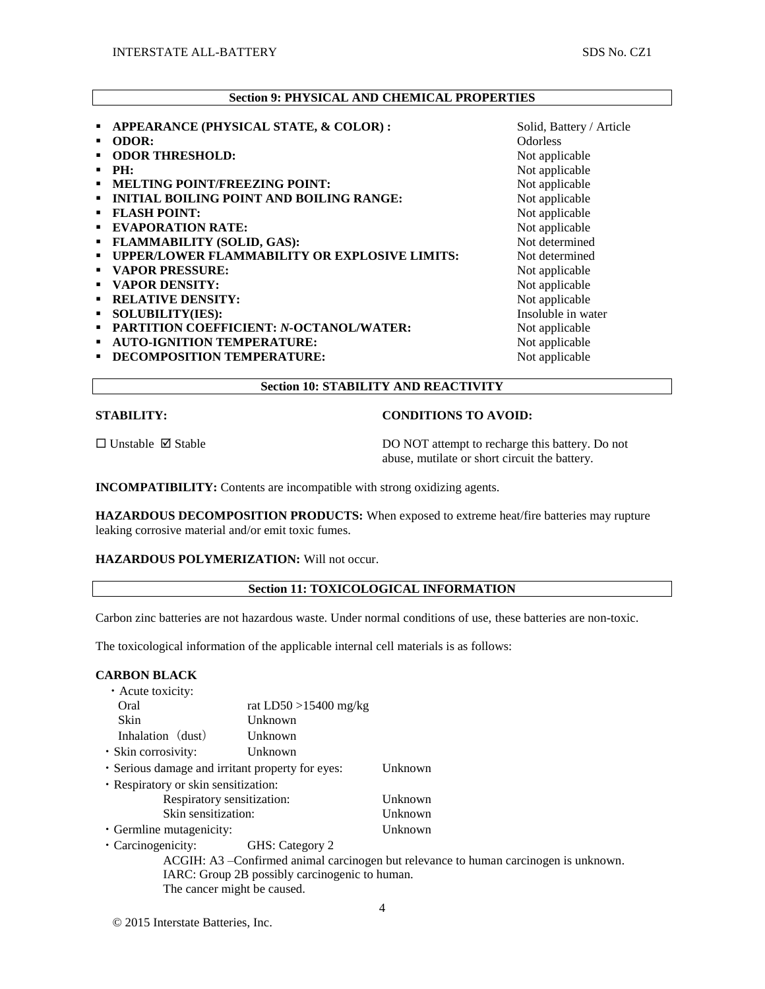## **Section 9: PHYSICAL AND CHEMICAL PROPERTIES**

**APPEARANCE (PHYSICAL STATE, & COLOR) :** Solid, Battery / Article **•** ODOR: COOR: COOR: COOR: COOR: COOR: COOR: COOR: COOR: COOR: COOR: COOR: COOR: COOR: COOR: COOR: COOR: COOR: COOR: COOR: COOR: COOR: COOR: COOR: COOR: COOR: COOR: COOR: COOR: COOR: COOR: COOR: COOR: COOR: COOR: COOR: CO **• ODOR THRESHOLD:** Not applicable **PH:** Not applicable **MELTING POINT/FREEZING POINT:** Not applicable **INITIAL BOILING POINT AND BOILING RANGE:**<br> **INITIAL BOILING POINT AND BOILING RANGE:**<br>
Not applicable<br>
Not applicable **FLASH POINT: EVAPORATION RATE:** Not applicable **FLAMMABILITY (SOLID, GAS):** Not determined<br> **FLAMMABILITY OR EXPLOSIVE LIMITS:** Not determined **UPPER/LOWER FLAMMABILITY OR EXPLOSIVE LIMITS: VAPOR PRESSURE:** Not applicable **• VAPOR DENSITY:** Not applicable **RELATIVE DENSITY:** Not applicable **SOLUBILITY(IES):** Insoluble in water **PARTITION COEFFICIENT:** *N***-OCTANOL/WATER:** Not applicable **AUTO-IGNITION TEMPERATURE:** Not applicable **DECOMPOSITION TEMPERATURE:** Not applicable

## **STABILITY: CONDITIONS TO AVOID:**

 $\square$  Unstable  $\square$  Stable  $\square$  Stable DO NOT attempt to recharge this battery. Do not abuse, mutilate or short circuit the battery.

**INCOMPATIBILITY:** Contents are incompatible with strong oxidizing agents.

**HAZARDOUS DECOMPOSITION PRODUCTS:** When exposed to extreme heat/fire batteries may rupture leaking corrosive material and/or emit toxic fumes.

**Section 10: STABILITY AND REACTIVITY**

## **HAZARDOUS POLYMERIZATION:** Will not occur.

### **Section 11: TOXICOLOGICAL INFORMATION**

Carbon zinc batteries are not hazardous waste. Under normal conditions of use, these batteries are non-toxic.

The toxicological information of the applicable internal cell materials is as follows:

### **CARBON BLACK**

| • Acute toxicity:                                |                          |  |  |  |  |
|--------------------------------------------------|--------------------------|--|--|--|--|
| Oral                                             | rat $LD50 > 15400$ mg/kg |  |  |  |  |
| Skin                                             | Unknown                  |  |  |  |  |
| Inhalation (dust)                                | Unknown                  |  |  |  |  |
| · Skin corrosivity:                              | Unknown                  |  |  |  |  |
| · Serious damage and irritant property for eyes: | Unknown                  |  |  |  |  |
| · Respiratory or skin sensitization:             |                          |  |  |  |  |
| Respiratory sensitization:                       | Unknown                  |  |  |  |  |
| Skin sensitization:                              | Unknown                  |  |  |  |  |
| · Germline mutagenicity:                         | <b>I</b> Inknown         |  |  |  |  |

- ・Carcinogenicity: GHS: Category 2
	- ACGIH: A3 –Confirmed animal carcinogen but relevance to human carcinogen is unknown. IARC: Group 2B possibly carcinogenic to human. The cancer might be caused.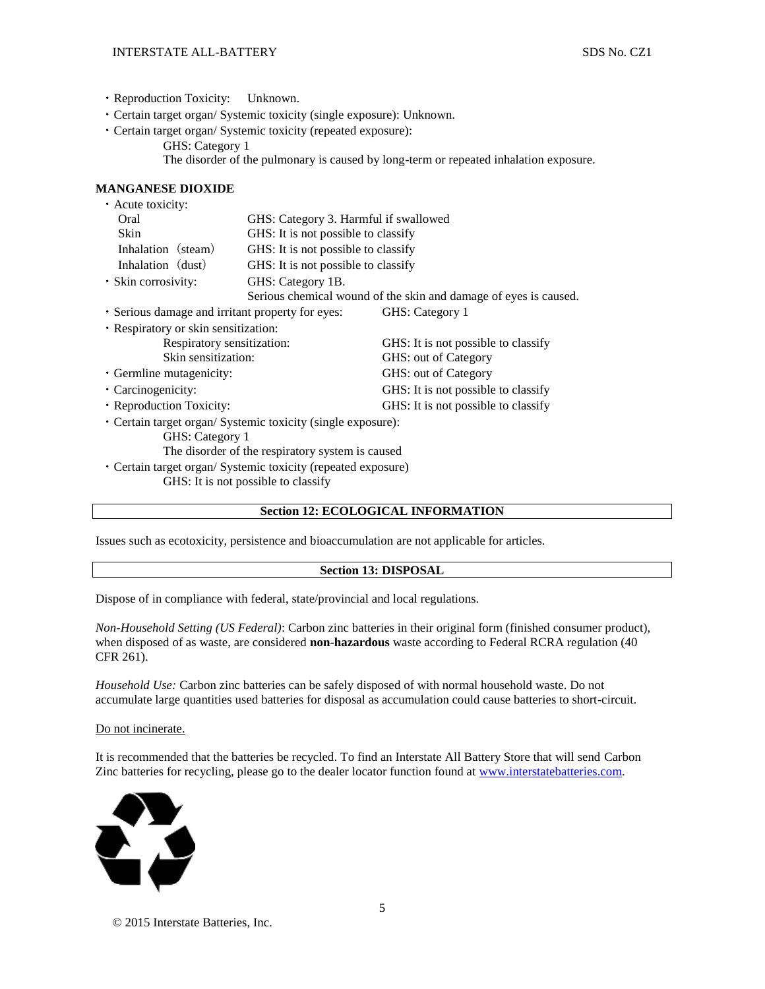- ・Reproduction Toxicity: Unknown.
- ・Certain target organ/ Systemic toxicity (single exposure): Unknown.
- ・Certain target organ/ Systemic toxicity (repeated exposure):
	- GHS: Category 1
	- The disorder of the pulmonary is caused by long-term or repeated inhalation exposure.

### **MANGANESE DIOXIDE**

| • Acute toxicity:                                             |                                                                  |                                     |  |  |  |
|---------------------------------------------------------------|------------------------------------------------------------------|-------------------------------------|--|--|--|
| Oral                                                          | GHS: Category 3. Harmful if swallowed                            |                                     |  |  |  |
| Skin                                                          | GHS: It is not possible to classify                              |                                     |  |  |  |
| Inhalation (steam)                                            | GHS: It is not possible to classify                              |                                     |  |  |  |
| Inhalation (dust)                                             | GHS: It is not possible to classify                              |                                     |  |  |  |
| • Skin corrosivity:                                           | GHS: Category 1B.                                                |                                     |  |  |  |
|                                                               | Serious chemical wound of the skin and damage of eyes is caused. |                                     |  |  |  |
| • Serious damage and irritant property for eyes:              |                                                                  | GHS: Category 1                     |  |  |  |
| • Respiratory or skin sensitization:                          |                                                                  |                                     |  |  |  |
| Respiratory sensitization:                                    |                                                                  | GHS: It is not possible to classify |  |  |  |
| Skin sensitization:                                           |                                                                  | GHS: out of Category                |  |  |  |
| • Germline mutagenicity:                                      |                                                                  | GHS: out of Category                |  |  |  |
| • Carcinogenicity:                                            |                                                                  | GHS: It is not possible to classify |  |  |  |
| • Reproduction Toxicity:                                      |                                                                  | GHS: It is not possible to classify |  |  |  |
| • Certain target organ/ Systemic toxicity (single exposure):  |                                                                  |                                     |  |  |  |
| GHS: Category 1                                               |                                                                  |                                     |  |  |  |
| The disorder of the respiratory system is caused              |                                                                  |                                     |  |  |  |
| • Certain target organ/ Systemic toxicity (repeated exposure) |                                                                  |                                     |  |  |  |
| GHS: It is not possible to classify                           |                                                                  |                                     |  |  |  |

### **Section 12: ECOLOGICAL INFORMATION**

Issues such as ecotoxicity, persistence and bioaccumulation are not applicable for articles.

### **Section 13: DISPOSAL**

Dispose of in compliance with federal, state/provincial and local regulations.

*Non-Household Setting (US Federal)*: Carbon zinc batteries in their original form (finished consumer product), when disposed of as waste, are considered **non-hazardous** waste according to Federal RCRA regulation (40 CFR 261).

*Household Use:* Carbon zinc batteries can be safely disposed of with normal household waste. Do not accumulate large quantities used batteries for disposal as accumulation could cause batteries to short-circuit.

Do not incinerate.

It is recommended that the batteries be recycled. To find an Interstate All Battery Store that will send Carbon Zinc batteries for recycling, please go to the dealer locator function found at [www.interstatebatteries.com.](http://www.interstatebatteries.com/)



© 2015 Interstate Batteries, Inc.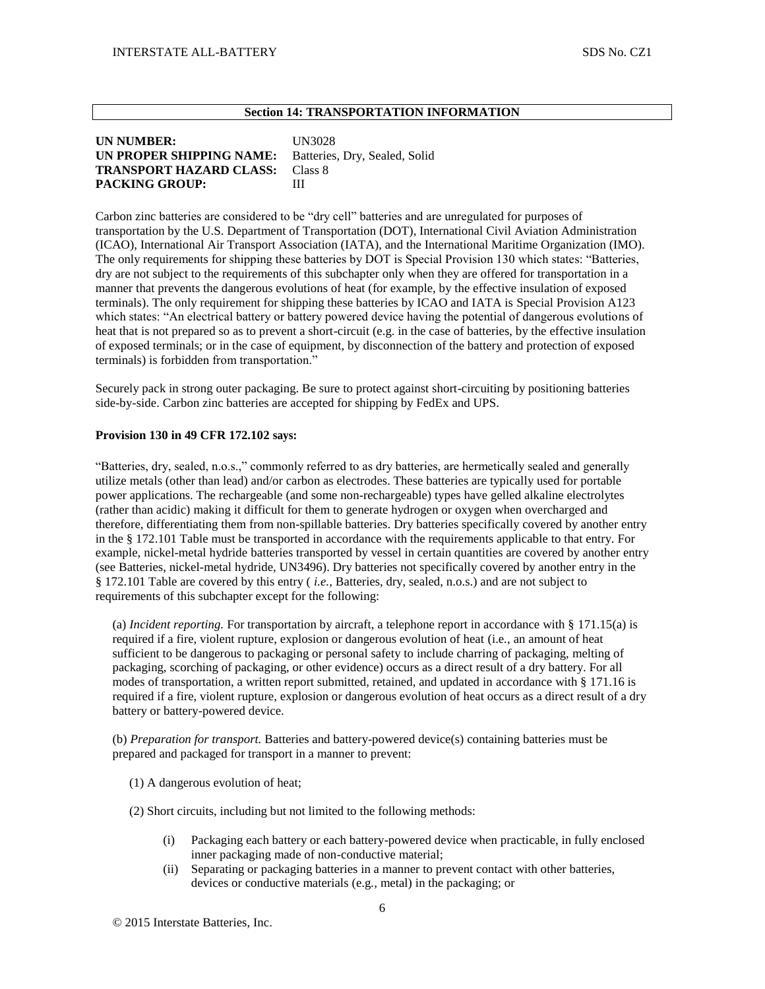## **Section 14: TRANSPORTATION INFORMATION**

## **UN NUMBER:** UN3028 **UN PROPER SHIPPING NAME:** Batteries, Dry, Sealed, Solid **TRANSPORT HAZARD CLASS:** Class 8 PACKING GROUP: III

Carbon zinc batteries are considered to be "dry cell" batteries and are unregulated for purposes of transportation by the U.S. Department of Transportation (DOT), International Civil Aviation Administration (ICAO), International Air Transport Association (IATA), and the International Maritime Organization (IMO). The only requirements for shipping these batteries by DOT is Special Provision 130 which states: "Batteries, dry are not subject to the requirements of this subchapter only when they are offered for transportation in a manner that prevents the dangerous evolutions of heat (for example, by the effective insulation of exposed terminals). The only requirement for shipping these batteries by ICAO and IATA is Special Provision A123 which states: "An electrical battery or battery powered device having the potential of dangerous evolutions of heat that is not prepared so as to prevent a short-circuit (e.g. in the case of batteries, by the effective insulation of exposed terminals; or in the case of equipment, by disconnection of the battery and protection of exposed terminals) is forbidden from transportation."

Securely pack in strong outer packaging. Be sure to protect against short-circuiting by positioning batteries side-by-side. Carbon zinc batteries are accepted for shipping by FedEx and UPS.

### **Provision 130 in 49 CFR 172.102 says:**

"Batteries, dry, sealed, n.o.s.," commonly referred to as dry batteries, are hermetically sealed and generally utilize metals (other than lead) and/or carbon as electrodes. These batteries are typically used for portable power applications. The rechargeable (and some non-rechargeable) types have gelled alkaline electrolytes (rather than acidic) making it difficult for them to generate hydrogen or oxygen when overcharged and therefore, differentiating them from non-spillable batteries. Dry batteries specifically covered by another entry in the § 172.101 Table must be transported in accordance with the requirements applicable to that entry. For example, nickel-metal hydride batteries transported by vessel in certain quantities are covered by another entry (see Batteries, nickel-metal hydride, UN3496). Dry batteries not specifically covered by another entry in the § 172.101 Table are covered by this entry ( *i.e.,* Batteries, dry, sealed, n.o.s.) and are not subject to requirements of this subchapter except for the following:

(a) *Incident reporting.* For transportation by aircraft, a telephone report in accordance with § 171.15(a) is required if a fire, violent rupture, explosion or dangerous evolution of heat (i.e*.,* an amount of heat sufficient to be dangerous to packaging or personal safety to include charring of packaging, melting of packaging, scorching of packaging, or other evidence) occurs as a direct result of a dry battery. For all modes of transportation, a written report submitted, retained, and updated in accordance with § 171.16 is required if a fire, violent rupture, explosion or dangerous evolution of heat occurs as a direct result of a dry battery or battery-powered device.

(b) *Preparation for transport.* Batteries and battery-powered device(s) containing batteries must be prepared and packaged for transport in a manner to prevent:

(1) A dangerous evolution of heat;

(2) Short circuits, including but not limited to the following methods:

- (i) Packaging each battery or each battery-powered device when practicable, in fully enclosed inner packaging made of non-conductive material;
- (ii) Separating or packaging batteries in a manner to prevent contact with other batteries, devices or conductive materials (e.g*.,* metal) in the packaging; or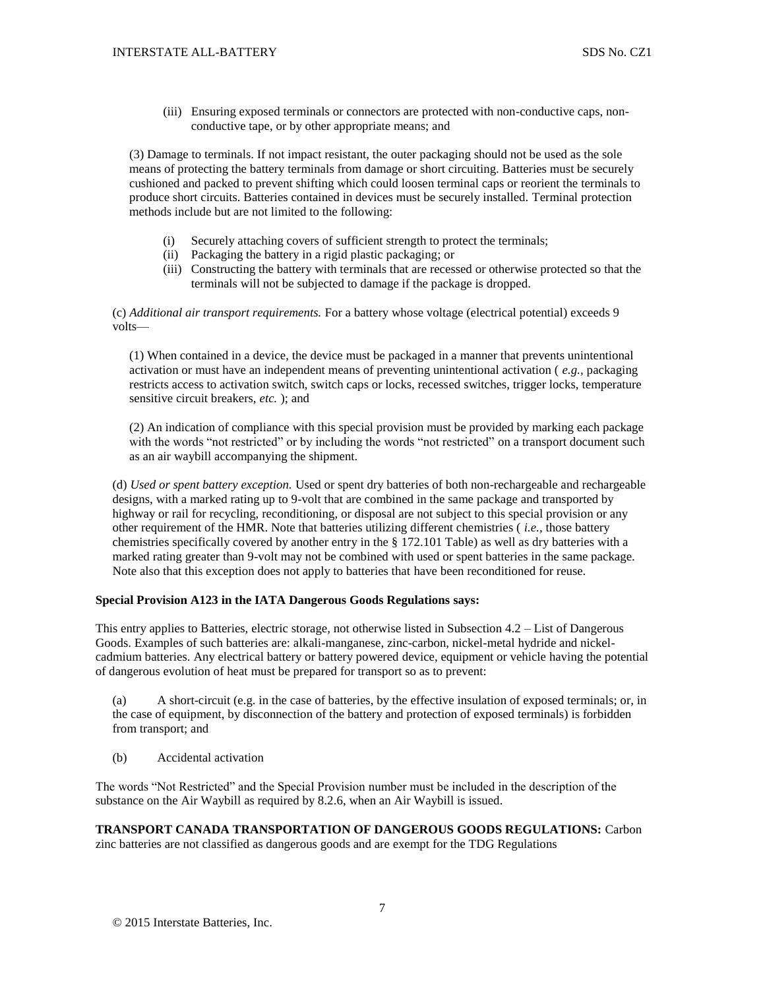(iii) Ensuring exposed terminals or connectors are protected with non-conductive caps, nonconductive tape, or by other appropriate means; and

(3) Damage to terminals. If not impact resistant, the outer packaging should not be used as the sole means of protecting the battery terminals from damage or short circuiting. Batteries must be securely cushioned and packed to prevent shifting which could loosen terminal caps or reorient the terminals to produce short circuits. Batteries contained in devices must be securely installed. Terminal protection methods include but are not limited to the following:

- (i) Securely attaching covers of sufficient strength to protect the terminals;
- (ii) Packaging the battery in a rigid plastic packaging; or
- (iii) Constructing the battery with terminals that are recessed or otherwise protected so that the terminals will not be subjected to damage if the package is dropped.

(c) *Additional air transport requirements.* For a battery whose voltage (electrical potential) exceeds 9 volts—

(1) When contained in a device, the device must be packaged in a manner that prevents unintentional activation or must have an independent means of preventing unintentional activation ( *e.g.,* packaging restricts access to activation switch, switch caps or locks, recessed switches, trigger locks, temperature sensitive circuit breakers, *etc.* ); and

(2) An indication of compliance with this special provision must be provided by marking each package with the words "not restricted" or by including the words "not restricted" on a transport document such as an air waybill accompanying the shipment.

(d) *Used or spent battery exception.* Used or spent dry batteries of both non-rechargeable and rechargeable designs, with a marked rating up to 9-volt that are combined in the same package and transported by highway or rail for recycling, reconditioning, or disposal are not subject to this special provision or any other requirement of the HMR. Note that batteries utilizing different chemistries ( *i.e.,* those battery chemistries specifically covered by another entry in the § 172.101 Table) as well as dry batteries with a marked rating greater than 9-volt may not be combined with used or spent batteries in the same package. Note also that this exception does not apply to batteries that have been reconditioned for reuse.

## **Special Provision A123 in the IATA Dangerous Goods Regulations says:**

This entry applies to Batteries, electric storage, not otherwise listed in Subsection 4.2 – List of Dangerous Goods. Examples of such batteries are: alkali-manganese, zinc-carbon, nickel-metal hydride and nickelcadmium batteries. Any electrical battery or battery powered device, equipment or vehicle having the potential of dangerous evolution of heat must be prepared for transport so as to prevent:

(a) A short-circuit (e.g. in the case of batteries, by the effective insulation of exposed terminals; or, in the case of equipment, by disconnection of the battery and protection of exposed terminals) is forbidden from transport; and

(b) Accidental activation

The words "Not Restricted" and the Special Provision number must be included in the description of the substance on the Air Waybill as required by 8.2.6, when an Air Waybill is issued.

**TRANSPORT CANADA TRANSPORTATION OF DANGEROUS GOODS REGULATIONS:** Carbon zinc batteries are not classified as dangerous goods and are exempt for the TDG Regulations